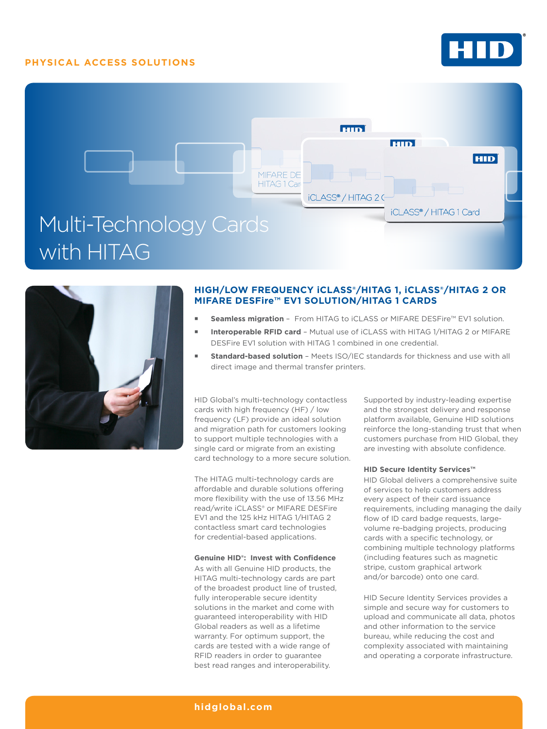# **PHYSICAL ACCESS SOLUTIONS**







# **HIGH/LOW FREQUENCY iCLASS®/HITAG 1, iCLASS®/HITAG 2 OR MIFARE DESFire™ EV1 SOLUTION/HITAG 1 CARDS**

- **Seamless migration** From HITAG to iCLASS or MIFARE DESFire™ EV1 solution.
- **Interoperable RFID card**  Mutual use of iCLASS with HITAG 1/HITAG 2 or MIFARE DESFire EV1 solution with HITAG 1 combined in one credential.
- **Standard-based solution**  Meets ISO/IEC standards for thickness and use with all direct image and thermal transfer printers.

HID Global's multi-technology contactless cards with high frequency (HF) / low frequency (LF) provide an ideal solution and migration path for customers looking to support multiple technologies with a single card or migrate from an existing card technology to a more secure solution.

The HITAG multi-technology cards are affordable and durable solutions offering more flexibility with the use of 13.56 MHz read/write iCLASS® or MIFARE DESFire EV1 and the 125 kHz HITAG 1/HITAG 2 contactless smart card technologies for credential-based applications.

# **Genuine HID®: Invest with Confidence**

As with all Genuine HID products, the HITAG multi-technology cards are part of the broadest product line of trusted, fully interoperable secure identity solutions in the market and come with guaranteed interoperability with HID Global readers as well as a lifetime warranty. For optimum support, the cards are tested with a wide range of RFID readers in order to guarantee best read ranges and interoperability.

Supported by industry-leading expertise and the strongest delivery and response platform available, Genuine HID solutions reinforce the long-standing trust that when customers purchase from HID Global, they are investing with absolute confidence.

## **HID Secure Identity Services™**

HID Global delivers a comprehensive suite of services to help customers address every aspect of their card issuance requirements, including managing the daily flow of ID card badge requests, largevolume re-badging projects, producing cards with a specific technology, or combining multiple technology platforms (including features such as magnetic stripe, custom graphical artwork and/or barcode) onto one card.

HID Secure Identity Services provides a simple and secure way for customers to upload and communicate all data, photos and other information to the service bureau, while reducing the cost and complexity associated with maintaining and operating a corporate infrastructure.

# **[hidglobal.com](http://www.hidglobal.com)**